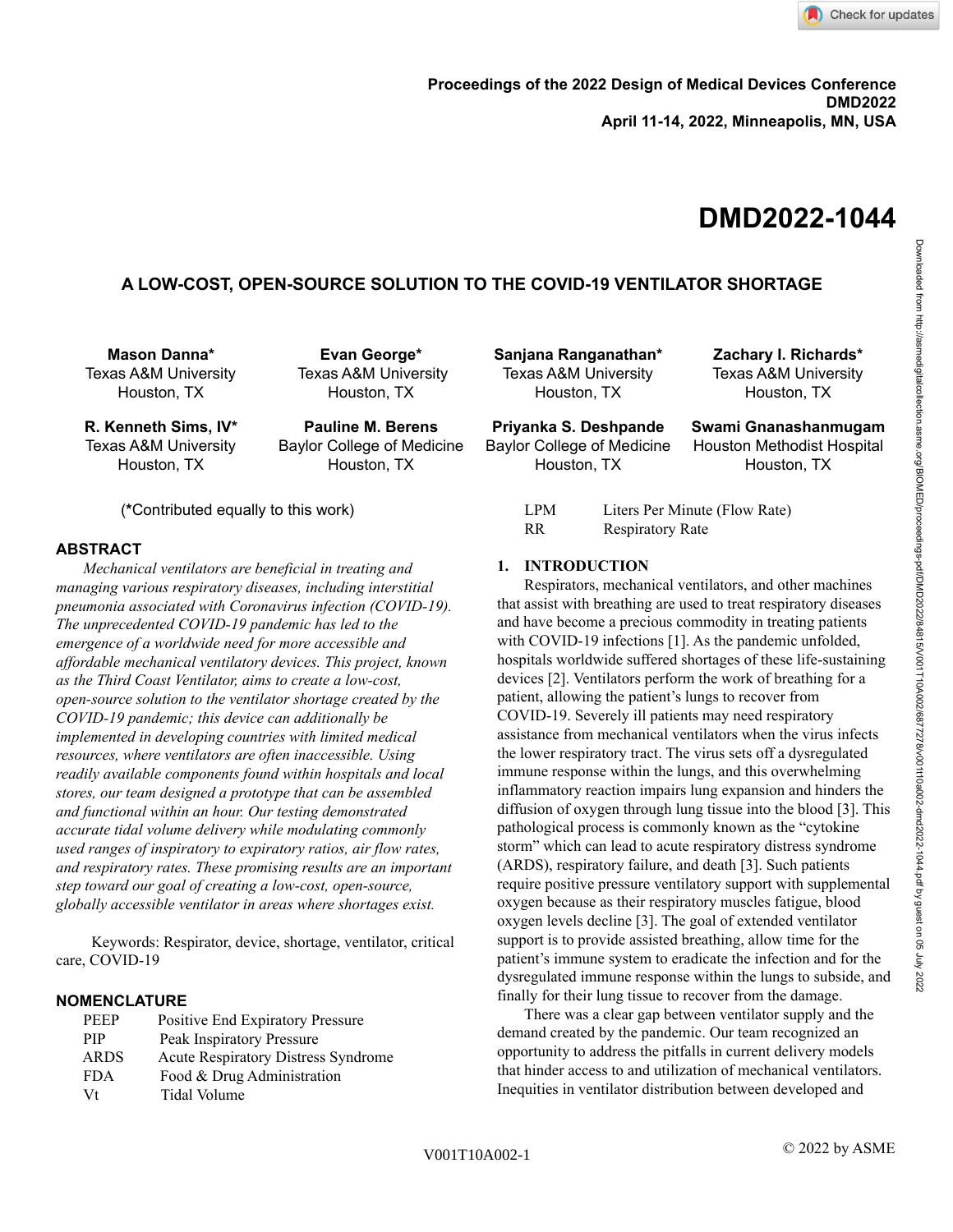# **DMD2022-1044**

# **A LOW-COST, OPEN-SOURCE SOLUTION TO THE COVID-19 VENTILATOR SHORTAGE**

**Mason Danna\*** Texas A&M University Houston, TX

**Evan George\*** Texas A&M University Houston, TX

**R. Kenneth Sims, IV\*** Texas A&M University Houston, TX

**Pauline M. Berens** Baylor College of Medicine Houston, TX

(**\***Contributed equally to this work)

# **ABSTRACT**

*Mechanical ventilators are beneficial in treating and managing various respiratory diseases, including interstitial pneumonia associated with Coronavirus infection (COVID-19). The unprecedented COVID-19 pandemic has led to the emergence of a worldwide need for more accessible and affordable mechanical ventilatory devices. This project, known as the Third Coast Ventilator, aims to create a low-cost, open-source solution to the ventilator shortage created by the COVID-19 pandemic; this device can additionally be implemented in developing countries with limited medical resources, where ventilators are often inaccessible. Using readily available components found within hospitals and local stores, our team designed a prototype that can be assembled and functional within an hour. Our testing demonstrated accurate tidal volume delivery while modulating commonly used ranges of inspiratory to expiratory ratios, air flow rates, and respiratory rates. These promising results are an important step toward our goal of creating a low-cost, open-source, globally accessible ventilator in areas where shortages exist.*

Keywords: Respirator, device, shortage, ventilator, critical care, COVID-19

# **NOMENCLATURE**

| <b>PEEP</b> | Positive End Expiratory Pressure    |
|-------------|-------------------------------------|
| <b>PIP</b>  | Peak Inspiratory Pressure           |
| <b>ARDS</b> | Acute Respiratory Distress Syndrome |
| <b>FDA</b>  | Food & Drug Administration          |
| Vt          | Tidal Volume                        |
|             |                                     |

**Sanjana Ranganathan\*** Texas A&M University Houston, TX

**Priyanka S. Deshpande** Baylor College of Medicine Houston, TX

Houston, TX **Swami Gnanashanmugam** Houston Methodist Hospital

**Zachary I. Richards\*** Texas A&M University

Houston, TX

| LPM | Liters Per Minute (Flow Rate) |
|-----|-------------------------------|
| RR. | <b>Respiratory Rate</b>       |

# **1. INTRODUCTION**

Respirators, mechanical ventilators, and other machines that assist with breathing are used to treat respiratory diseases and have become a precious commodity in treating patients with COVID-19 infections [1]. As the pandemic unfolded, hospitals worldwide suffered shortages of these life-sustaining devices [2]. Ventilators perform the work of breathing for a patient, allowing the patient's lungs to recover from COVID-19. Severely ill patients may need respiratory assistance from mechanical ventilators when the virus infects the lower respiratory tract. The virus sets off a dysregulated immune response within the lungs, and this overwhelming inflammatory reaction impairs lung expansion and hinders the diffusion of oxygen through lung tissue into the blood [3]. This pathological process is commonly known as the "cytokine storm" which can lead to acute respiratory distress syndrome (ARDS), respiratory failure, and death [3]. Such patients require positive pressure ventilatory support with supplemental oxygen because as their respiratory muscles fatigue, blood oxygen levels decline [3]. The goal of extended ventilator support is to provide assisted breathing, allow time for the patient's immune system to eradicate the infection and for the dysregulated immune response within the lungs to subside, and finally for their lung tissue to recover from the damage.

There was a clear gap between ventilator supply and the demand created by the pandemic. Our team recognized an opportunity to address the pitfalls in current delivery models that hinder access to and utilization of mechanical ventilators. Inequities in ventilator distribution between developed and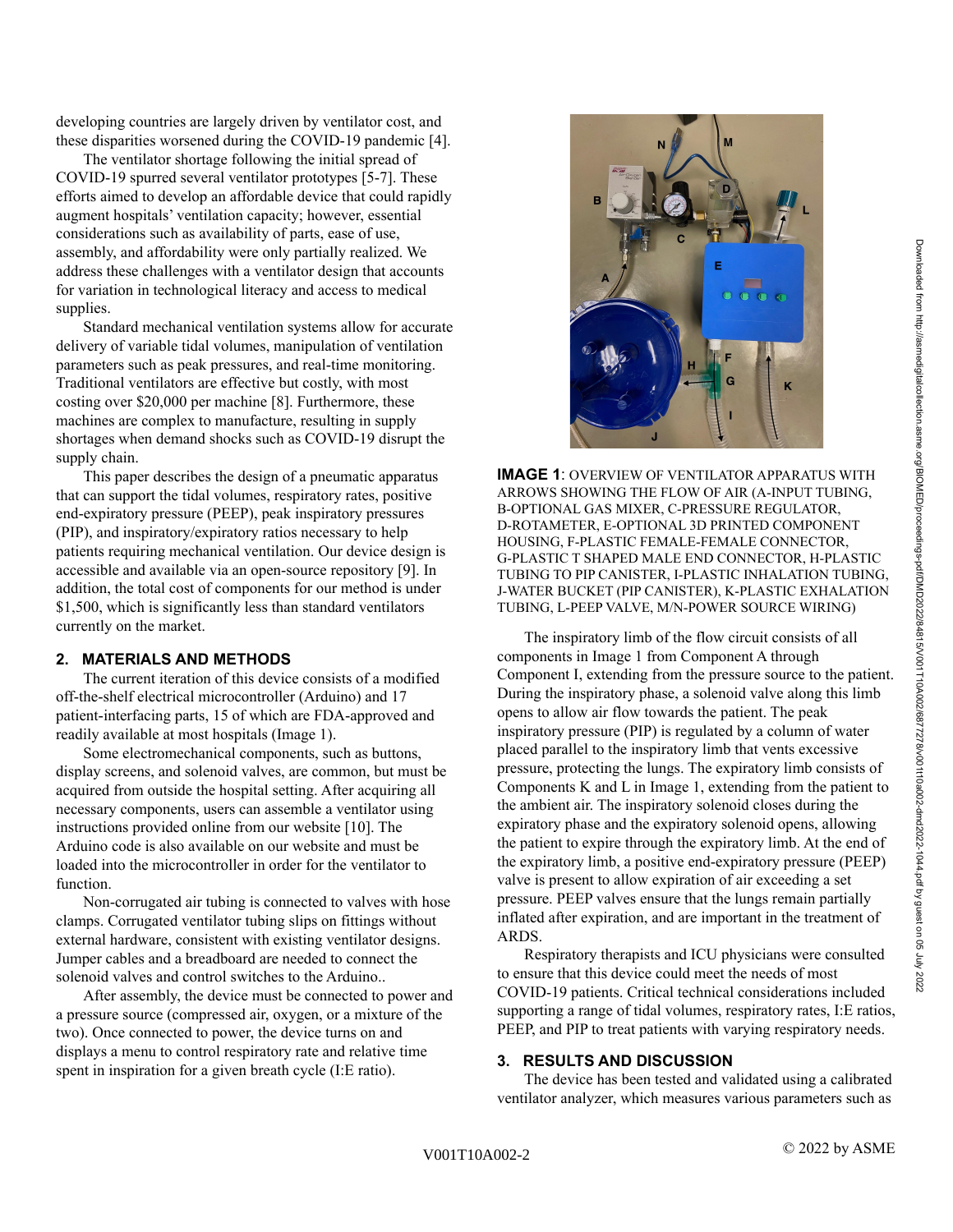developing countries are largely driven by ventilator cost, and these disparities worsened during the COVID-19 pandemic [4].

The ventilator shortage following the initial spread of COVID-19 spurred several ventilator prototypes [5-7]. These efforts aimed to develop an affordable device that could rapidly augment hospitals' ventilation capacity; however, essential considerations such as availability of parts, ease of use, assembly, and affordability were only partially realized. We address these challenges with a ventilator design that accounts for variation in technological literacy and access to medical supplies.

Standard mechanical ventilation systems allow for accurate delivery of variable tidal volumes, manipulation of ventilation parameters such as peak pressures, and real-time monitoring. Traditional ventilators are effective but costly, with most costing over \$20,000 per machine [8]. Furthermore, these machines are complex to manufacture, resulting in supply shortages when demand shocks such as COVID-19 disrupt the supply chain.

This paper describes the design of a pneumatic apparatus that can support the tidal volumes, respiratory rates, positive end-expiratory pressure (PEEP), peak inspiratory pressures (PIP), and inspiratory/expiratory ratios necessary to help patients requiring mechanical ventilation. Our device design is accessible and available via an open-source repository [9]. In addition, the total cost of components for our method is under \$1,500, which is significantly less than standard ventilators currently on the market.

# **2. MATERIALS AND METHODS**

The current iteration of this device consists of a modified off-the-shelf electrical microcontroller (Arduino) and 17 patient-interfacing parts, 15 of which are FDA-approved and readily available at most hospitals (Image 1).

Some electromechanical components, such as buttons, display screens, and solenoid valves, are common, but must be acquired from outside the hospital setting. After acquiring all necessary components, users can assemble a ventilator using instructions provided online from our website [10]. The Arduino code is also available on our website and must be loaded into the microcontroller in order for the ventilator to function.

Non-corrugated air tubing is connected to valves with hose clamps. Corrugated ventilator tubing slips on fittings without external hardware, consistent with existing ventilator designs. Jumper cables and a breadboard are needed to connect the solenoid valves and control switches to the Arduino..

After assembly, the device must be connected to power and a pressure source (compressed air, oxygen, or a mixture of the two). Once connected to power, the device turns on and displays a menu to control respiratory rate and relative time spent in inspiration for a given breath cycle (I:E ratio).



**IMAGE 1**: OVERVIEW OF VENTILATOR APPARATUS WITH ARROWS SHOWING THE FLOW OF AIR (A-INPUT TUBING, B-OPTIONAL GAS MIXER, C-PRESSURE REGULATOR, D-ROTAMETER, E-OPTIONAL 3D PRINTED COMPONENT HOUSING, F-PLASTIC FEMALE-FEMALE CONNECTOR, G-PLASTIC T SHAPED MALE END CONNECTOR, H-PLASTIC TUBING TO PIP CANISTER, I-PLASTIC INHALATION TUBING, J-WATER BUCKET (PIP CANISTER), K-PLASTIC EXHALATION TUBING, L-PEEP VALVE, M/N-POWER SOURCE WIRING)

The inspiratory limb of the flow circuit consists of all components in Image 1 from Component A through Component I, extending from the pressure source to the patient. During the inspiratory phase, a solenoid valve along this limb opens to allow air flow towards the patient. The peak inspiratory pressure (PIP) is regulated by a column of water placed parallel to the inspiratory limb that vents excessive pressure, protecting the lungs. The expiratory limb consists of Components K and L in Image 1, extending from the patient to the ambient air. The inspiratory solenoid closes during the expiratory phase and the expiratory solenoid opens, allowing the patient to expire through the expiratory limb. At the end of the expiratory limb, a positive end-expiratory pressure (PEEP) valve is present to allow expiration of air exceeding a set pressure. PEEP valves ensure that the lungs remain partially inflated after expiration, and are important in the treatment of **ARDS** 

Respiratory therapists and ICU physicians were consulted to ensure that this device could meet the needs of most COVID-19 patients. Critical technical considerations included supporting a range of tidal volumes, respiratory rates, I:E ratios, PEEP, and PIP to treat patients with varying respiratory needs.

# **3. RESULTS AND DISCUSSION**

The device has been tested and validated using a calibrated ventilator analyzer, which measures various parameters such as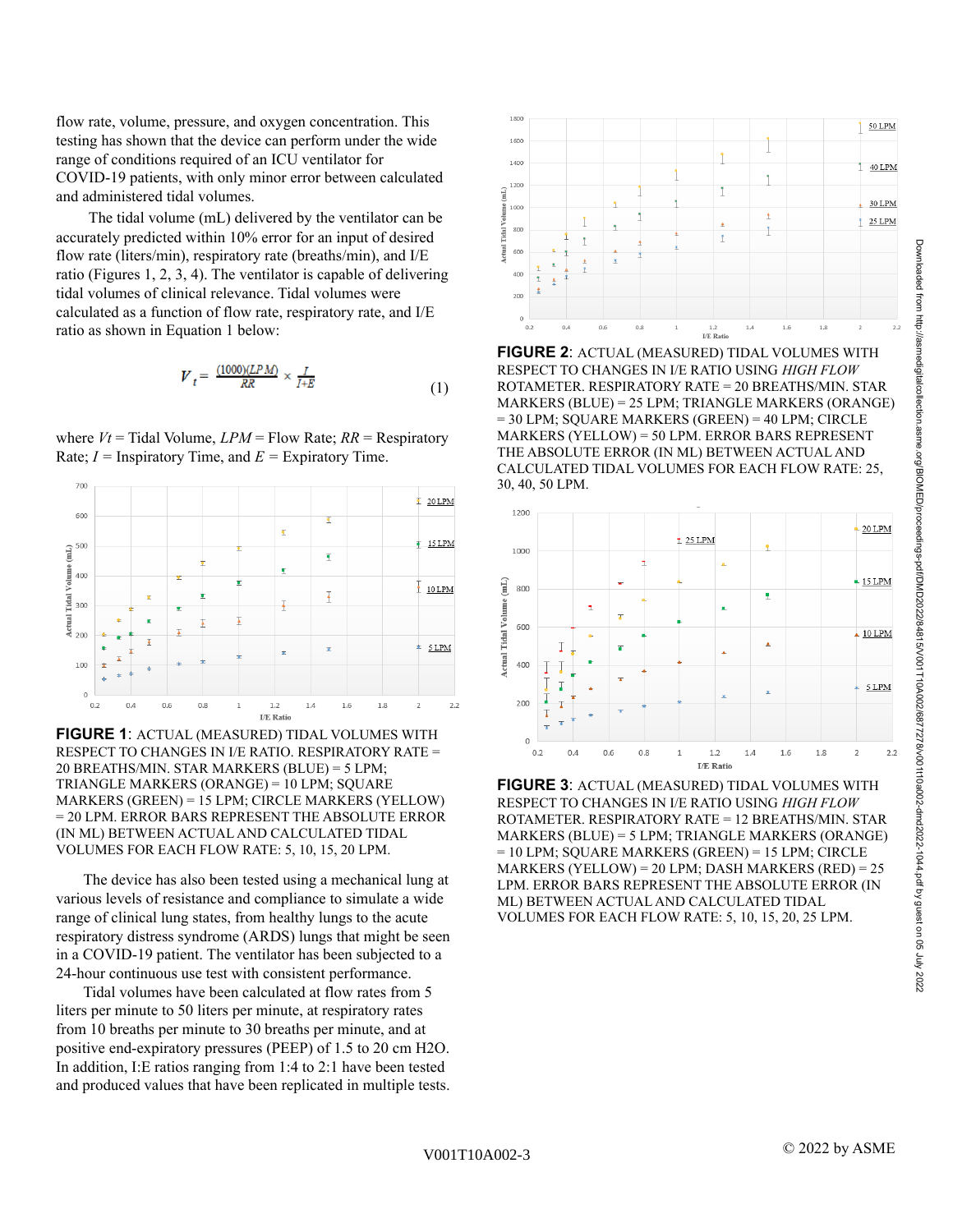I/E Rati **FIGURE 2**: ACTUAL (MEASURED) TIDAL VOLUMES WITH

 $\ddot{\tau}$ 

 $\overline{1}$ 

 $16$ 

 $1.8$ 

1800

1600 1400

120

1000

 $0.2$ 

Ť

 $06$ 

 $0.4$ 

idal Ve 800

ctual<sup>-</sup> 600 400

RESPECT TO CHANGES IN I/E RATIO USING *HIGH FLOW* ROTAMETER. RESPIRATORY RATE = 20 BREATHS/MIN. STAR MARKERS (BLUE) = 25 LPM; TRIANGLE MARKERS (ORANGE) = 30 LPM; SQUARE MARKERS (GREEN) = 40 LPM; CIRCLE MARKERS (YELLOW) = 50 LPM. ERROR BARS REPRESENT THE ABSOLUTE ERROR (IN ML) BETWEEN ACTUAL AND CALCULATED TIDAL VOLUMES FOR EACH FLOW RATE: 25, 30, 40, 50 LPM.



**FIGURE 3**: ACTUAL (MEASURED) TIDAL VOLUMES WITH RESPECT TO CHANGES IN I/E RATIO USING *HIGH FLOW* ROTAMETER. RESPIRATORY RATE = 12 BREATHS/MIN. STAR MARKERS (BLUE) = 5 LPM; TRIANGLE MARKERS (ORANGE) = 10 LPM; SQUARE MARKERS (GREEN) = 15 LPM; CIRCLE MARKERS (YELLOW) = 20 LPM; DASH MARKERS (RED) = 25 LPM. ERROR BARS REPRESENT THE ABSOLUTE ERROR (IN ML) BETWEEN ACTUAL AND CALCULATED TIDAL VOLUMES FOR EACH FLOW RATE: 5, 10, 15, 20, 25 LPM.

flow rate, volume, pressure, and oxygen concentration. This testing has shown that the device can perform under the wide range of conditions required of an ICU ventilator for COVID-19 patients, with only minor error between calculated and administered tidal volumes.

The tidal volume (mL) delivered by the ventilator can be accurately predicted within 10% error for an input of desired flow rate (liters/min), respiratory rate (breaths/min), and I/E ratio (Figures 1, 2, 3, 4). The ventilator is capable of delivering tidal volumes of clinical relevance. Tidal volumes were calculated as a function of flow rate, respiratory rate, and I/E ratio as shown in Equation 1 below:

$$
V_t = \frac{(1000)(LPM)}{RR} \times \frac{I}{I+E}
$$
 (1)

where  $Vt$  = Tidal Volume,  $LPM$  = Flow Rate;  $RR$  = Respiratory Rate;  $I =$  Inspiratory Time, and  $E =$  Expiratory Time.



**FIGURE 1**: ACTUAL (MEASURED) TIDAL VOLUMES WITH RESPECT TO CHANGES IN I/E RATIO. RESPIRATORY RATE = 20 BREATHS/MIN. STAR MARKERS (BLUE) = 5 LPM; TRIANGLE MARKERS (ORANGE) = 10 LPM; SQUARE MARKERS (GREEN) = 15 LPM; CIRCLE MARKERS (YELLOW) = 20 LPM. ERROR BARS REPRESENT THE ABSOLUTE ERROR (IN ML) BETWEEN ACTUAL AND CALCULATED TIDAL VOLUMES FOR EACH FLOW RATE: 5, 10, 15, 20 LPM.

The device has also been tested using a mechanical lung at various levels of resistance and compliance to simulate a wide range of clinical lung states, from healthy lungs to the acute respiratory distress syndrome (ARDS) lungs that might be seen in a COVID-19 patient. The ventilator has been subjected to a 24-hour continuous use test with consistent performance.

Tidal volumes have been calculated at flow rates from 5 liters per minute to 50 liters per minute, at respiratory rates from 10 breaths per minute to 30 breaths per minute, and at positive end-expiratory pressures (PEEP) of 1.5 to 20 cm H2O. In addition, I:E ratios ranging from 1:4 to 2:1 have been tested and produced values that have been replicated in multiple tests. 50 LPM

40 LPM

30 LPM

25 LPM

 $2.2$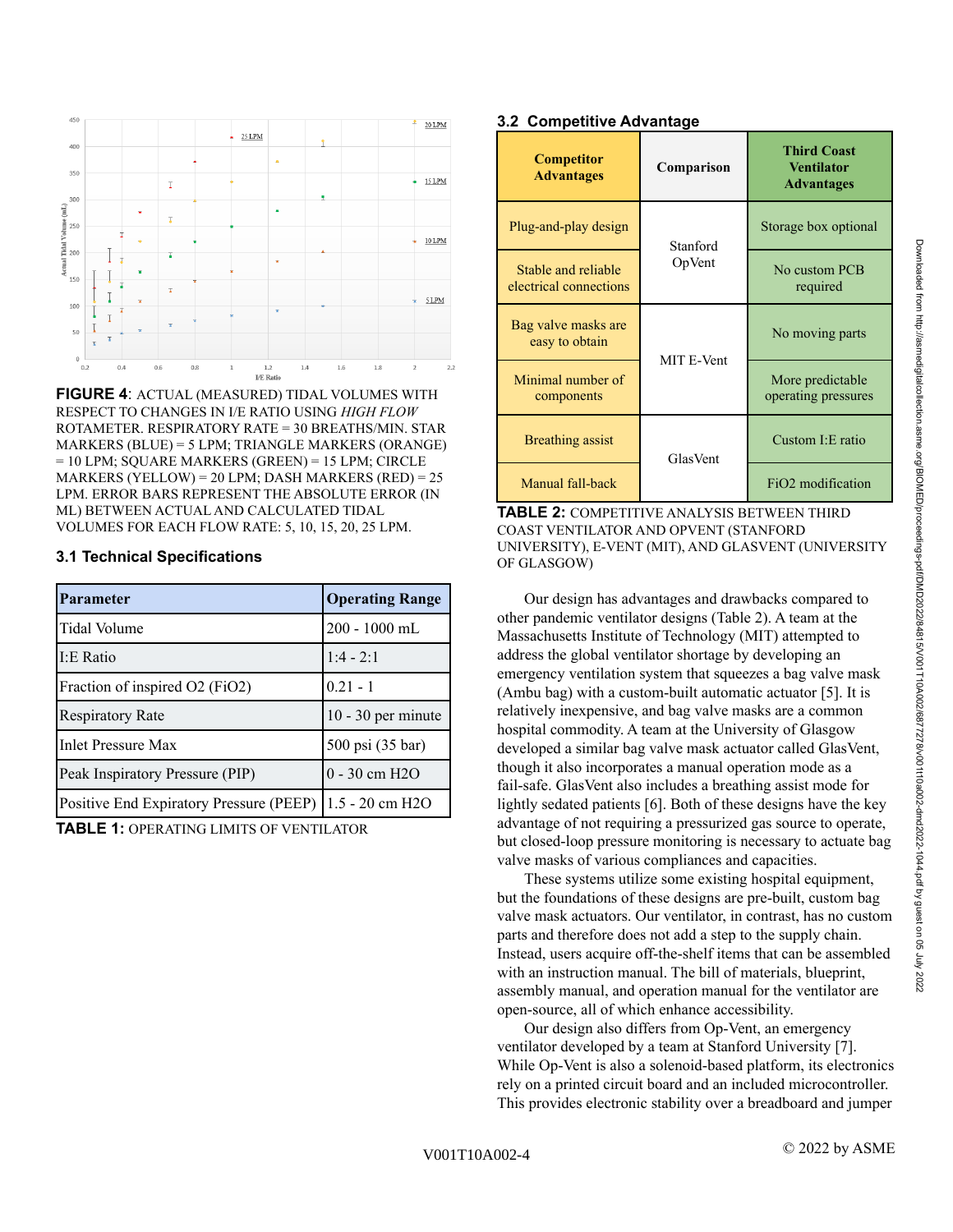

**FIGURE 4**: ACTUAL (MEASURED) TIDAL VOLUMES WITH RESPECT TO CHANGES IN I/E RATIO USING *HIGH FLOW* ROTAMETER. RESPIRATORY RATE = 30 BREATHS/MIN. STAR MARKERS (BLUE) = 5 LPM; TRIANGLE MARKERS (ORANGE) = 10 LPM; SQUARE MARKERS (GREEN) = 15 LPM; CIRCLE MARKERS (YELLOW) = 20 LPM; DASH MARKERS (RED) = 25 LPM. ERROR BARS REPRESENT THE ABSOLUTE ERROR (IN ML) BETWEEN ACTUAL AND CALCULATED TIDAL VOLUMES FOR EACH FLOW RATE: 5, 10, 15, 20, 25 LPM.

#### **3.1 Technical Specifications**

| <b>Parameter</b>                        | <b>Operating Range</b> |
|-----------------------------------------|------------------------|
| Tidal Volume                            | 200 - 1000 mL          |
| I:E Ratio                               | $1:4 - 2:1$            |
| Fraction of inspired O2 (FiO2)          | $0.21 - 1$             |
| <b>Respiratory Rate</b>                 | $10 - 30$ per minute   |
| <b>Inlet Pressure Max</b>               | 500 psi (35 bar)       |
| Peak Inspiratory Pressure (PIP)         | $0 - 30$ cm $H2O$      |
| Positive End Expiratory Pressure (PEEP) | 1.5 - 20 cm H2O        |

**TABLE 1:** OPERATING LIMITS OF VENTILATOR

# **3.2 Competitive Advantage**

| <b>Competitor</b><br><b>Advantages</b>        | Comparison | <b>Third Coast</b><br><b>Ventilator</b><br><b>Advantages</b> |
|-----------------------------------------------|------------|--------------------------------------------------------------|
| Plug-and-play design                          | Stanford   | Storage box optional                                         |
| Stable and reliable<br>electrical connections | OpVent     | No custom PCB<br>required                                    |
| Bag valve masks are<br>easy to obtain         | MIT E-Vent | No moving parts                                              |
| Minimal number of<br>components               |            | More predictable<br>operating pressures                      |
| Breathing assist                              | GlasVent   | Custom I: E ratio                                            |
| Manual fall-back                              |            | FiO <sub>2</sub> modification                                |

**TABLE 2:** COMPETITIVE ANALYSIS BETWEEN THIRD COAST VENTILATOR AND OPVENT (STANFORD UNIVERSITY), E-VENT (MIT), AND GLASVENT (UNIVERSITY OF GLASGOW)

Our design has advantages and drawbacks compared to other pandemic ventilator designs (Table 2). A team at the Massachusetts Institute of Technology (MIT) attempted to address the global ventilator shortage by developing an emergency ventilation system that squeezes a bag valve mask (Ambu bag) with a custom-built automatic actuator [5]. It is relatively inexpensive, and bag valve masks are a common hospital commodity. A team at the University of Glasgow developed a similar bag valve mask actuator called GlasVent, though it also incorporates a manual operation mode as a fail-safe. GlasVent also includes a breathing assist mode for lightly sedated patients [6]. Both of these designs have the key advantage of not requiring a pressurized gas source to operate, but closed-loop pressure monitoring is necessary to actuate bag valve masks of various compliances and capacities.

These systems utilize some existing hospital equipment, but the foundations of these designs are pre-built, custom bag valve mask actuators. Our ventilator, in contrast, has no custom parts and therefore does not add a step to the supply chain. Instead, users acquire off-the-shelf items that can be assembled with an instruction manual. The bill of materials, blueprint, assembly manual, and operation manual for the ventilator are open-source, all of which enhance accessibility.

Our design also differs from Op-Vent, an emergency ventilator developed by a team at Stanford University [7]. While Op-Vent is also a solenoid-based platform, its electronics rely on a printed circuit board and an included microcontroller. This provides electronic stability over a breadboard and jumper